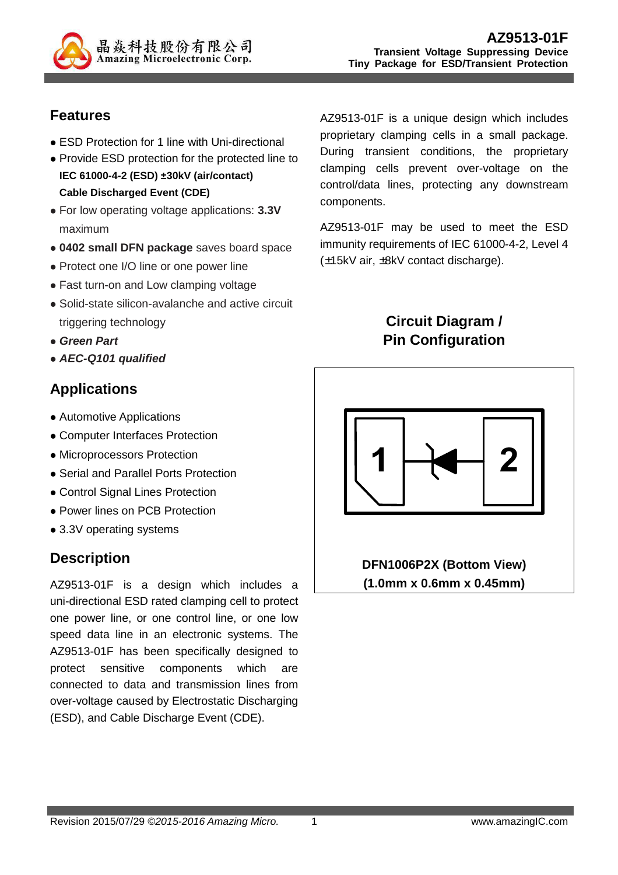

### **Features**

- ESD Protection for 1 line with Uni-directional
- Provide ESD protection for the protected line to **IEC 61000-4-2 (ESD) ±30kV (air/contact) Cable Discharged Event (CDE)**
- For low operating voltage applications: **3.3V**  maximum
- **0402 small DFN package** saves board space
- Protect one I/O line or one power line
- Fast turn-on and Low clamping voltage
- Solid-state silicon-avalanche and active circuit triggering technology
- **Green Part**
- **AEC-Q101 qualified**

# **Applications**

- Automotive Applications
- Computer Interfaces Protection
- Microprocessors Protection
- Serial and Parallel Ports Protection
- Control Signal Lines Protection
- Power lines on PCB Protection
- 3.3V operating systems

# **Description**

AZ9513-01F is a design which includes a uni-directional ESD rated clamping cell to protect one power line, or one control line, or one low speed data line in an electronic systems. The AZ9513-01F has been specifically designed to protect sensitive components which are connected to data and transmission lines from over-voltage caused by Electrostatic Discharging (ESD), and Cable Discharge Event (CDE).

AZ9513-01F is a unique design which includes proprietary clamping cells in a small package. During transient conditions, the proprietary clamping cells prevent over-voltage on the control/data lines, protecting any downstream components.

AZ9513-01F may be used to meet the ESD immunity requirements of IEC 61000-4-2, Level 4 (±15kV air, ±8kV contact discharge).

# **Circuit Diagram / Pin Configuration**



**(1.0mm x 0.6mm x 0.45mm)**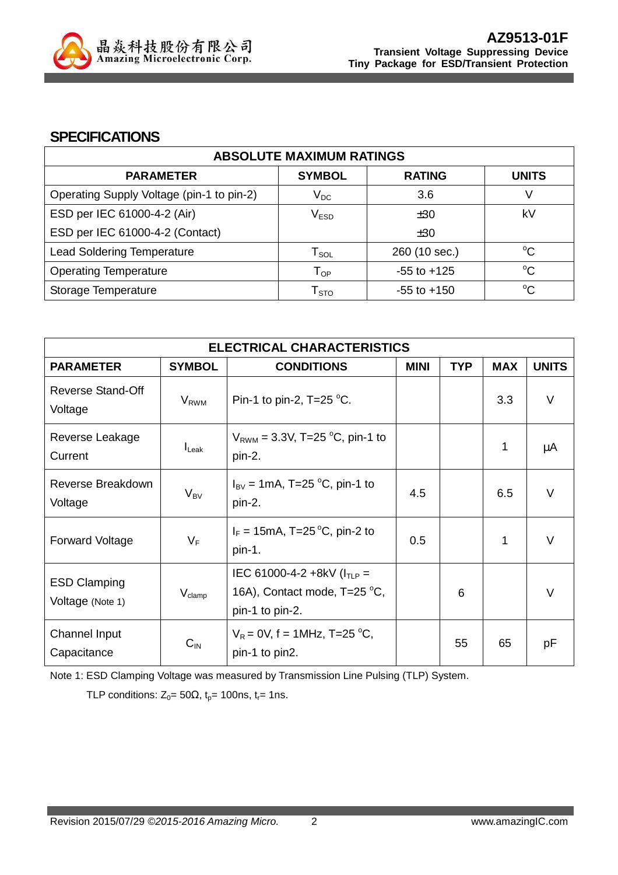

#### **SPECIFICATIONS**

| <b>ABSOLUTE MAXIMUM RATINGS</b>           |                             |                 |              |
|-------------------------------------------|-----------------------------|-----------------|--------------|
| <b>PARAMETER</b>                          | <b>SYMBOL</b>               | <b>RATING</b>   | <b>UNITS</b> |
| Operating Supply Voltage (pin-1 to pin-2) | $V_{DC}$                    | 3.6             | V            |
| ESD per IEC 61000-4-2 (Air)               | V <sub>ESD</sub>            | $\pm 30$        | kV           |
| ESD per IEC 61000-4-2 (Contact)           |                             | ±30             |              |
| <b>Lead Soldering Temperature</b>         | $\mathsf{T}_{\mathsf{SOL}}$ | 260 (10 sec.)   | $^{\circ}C$  |
| <b>Operating Temperature</b>              | $T_{OP}$                    | $-55$ to $+125$ | °C           |
| Storage Temperature                       | ${\sf T}_{\sf STO}$         | $-55$ to $+150$ | $^{\circ}C$  |

| <b>ELECTRICAL CHARACTERISTICS</b>       |                          |                                                                                     |             |            |            |              |
|-----------------------------------------|--------------------------|-------------------------------------------------------------------------------------|-------------|------------|------------|--------------|
| <b>PARAMETER</b>                        | <b>SYMBOL</b>            | <b>CONDITIONS</b>                                                                   | <b>MINI</b> | <b>TYP</b> | <b>MAX</b> | <b>UNITS</b> |
| <b>Reverse Stand-Off</b><br>Voltage     | <b>V</b> <sub>RWM</sub>  | Pin-1 to pin-2, $T=25$ °C.                                                          |             |            | 3.3        | $\vee$       |
| Reverse Leakage<br>Current              | $I_{\text{Leak}}$        | $V_{RWM}$ = 3.3V, T=25 °C, pin-1 to<br>pin-2.                                       |             |            | 1          | μA           |
| Reverse Breakdown<br>Voltage            | $\mathsf{V}_\mathsf{BV}$ | $I_{\text{BV}}$ = 1mA, T=25 °C, pin-1 to<br>pin-2.                                  | 4.5         |            | 6.5        | $\vee$       |
| <b>Forward Voltage</b>                  | $V_F$                    | $I_F = 15 \text{mA}$ , T=25 °C, pin-2 to<br>pin-1.                                  | 0.5         |            | 1          | $\vee$       |
| <b>ESD Clamping</b><br>Voltage (Note 1) | $V_{\text{clamp}}$       | IEC 61000-4-2 +8kV ( $I_{TLP}$ =<br>16A), Contact mode, T=25 °C,<br>pin-1 to pin-2. |             | 6          |            | V            |
| Channel Input<br>Capacitance            | $C_{\text{IN}}$          | $V_R = 0V$ , f = 1MHz, T=25 °C,<br>pin-1 to pin2.                                   |             | 55         | 65         | рF           |

Note 1: ESD Clamping Voltage was measured by Transmission Line Pulsing (TLP) System.

TLP conditions:  $Z_0 = 50\Omega$ ,  $t_p = 100$ ns,  $t_r = 1$ ns.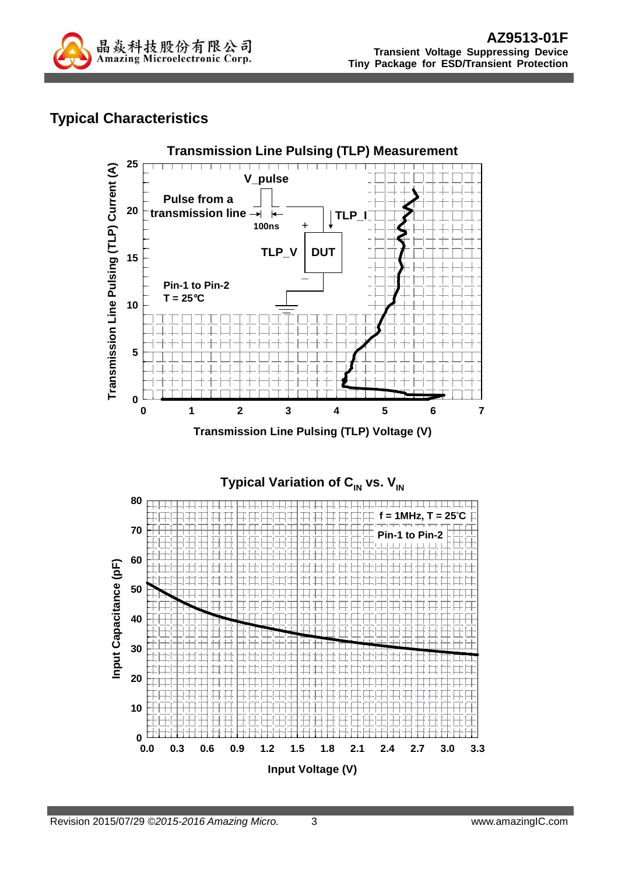

# **Typical Characteristics**

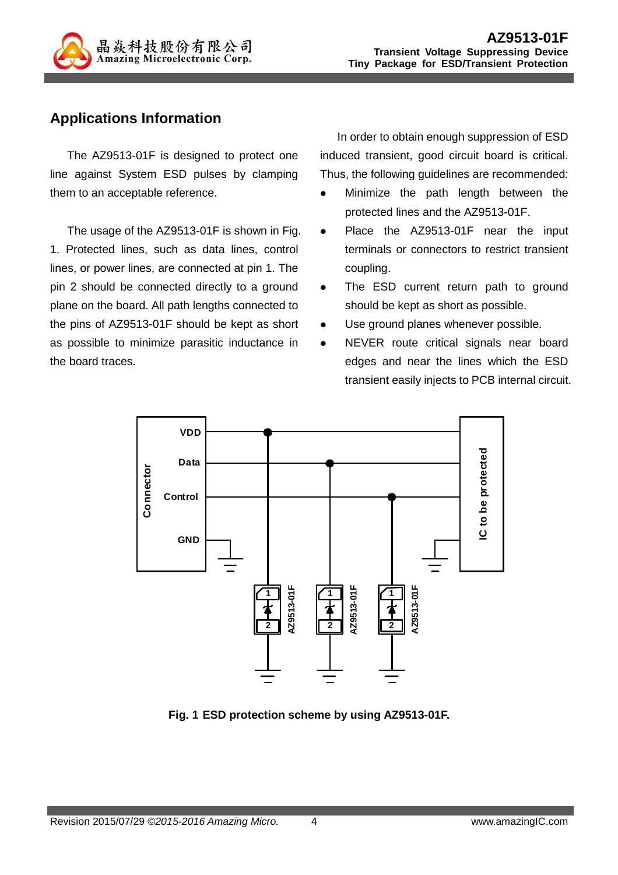

## **Applications Information**

The AZ9513-01F is designed to protect one line against System ESD pulses by clamping them to an acceptable reference.

The usage of the AZ9513-01F is shown in Fig. 1. Protected lines, such as data lines, control lines, or power lines, are connected at pin 1. The pin 2 should be connected directly to a ground plane on the board. All path lengths connected to the pins of AZ9513-01F should be kept as short as possible to minimize parasitic inductance in the board traces.

In order to obtain enough suppression of ESD induced transient, good circuit board is critical. Thus, the following guidelines are recommended:

- Minimize the path length between the protected lines and the AZ9513-01F.
- Place the AZ9513-01F near the input terminals or connectors to restrict transient coupling.
- The ESD current return path to ground should be kept as short as possible.
- Use ground planes whenever possible.
- NEVER route critical signals near board edges and near the lines which the ESD transient easily injects to PCB internal circuit.



**Fig. 1 ESD protection scheme by using AZ9513-01F.**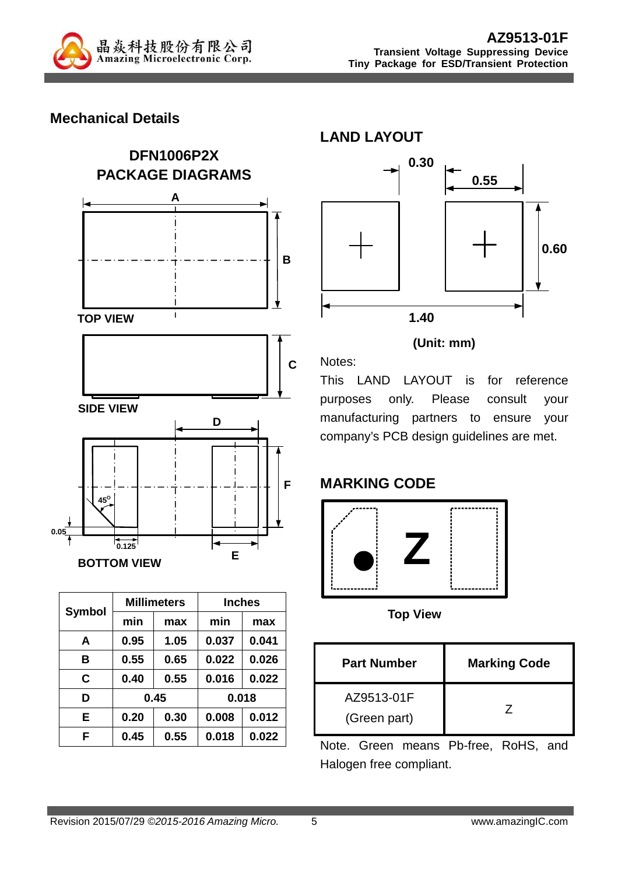

### **Mechanical Details**



| <b>Symbol</b> |      | <b>Millimeters</b><br><b>Inches</b> |       |       |  |
|---------------|------|-------------------------------------|-------|-------|--|
|               | min  | max                                 | min   | max   |  |
| A             | 0.95 | 1.05                                | 0.037 | 0.041 |  |
| в             | 0.55 | 0.65                                | 0.022 | 0.026 |  |
| C             | 0.40 | 0.55                                | 0.016 | 0.022 |  |
| D             | 0.45 |                                     |       | 0.018 |  |
| Е             | 0.20 | 0.30                                | 0.008 | 0.012 |  |
| F             | 0.45 | 0.55                                | 0.018 | 0.022 |  |

#### **LAND LAYOUT**



#### **(Unit: mm)**

Notes:

This LAND LAYOUT is for reference purposes only. Please consult your manufacturing partners to ensure your company's PCB design guidelines are met.

# **MARKING CODE**



**Top View** 

| <b>Part Number</b>         | <b>Marking Code</b> |
|----------------------------|---------------------|
| AZ9513-01F<br>(Green part) |                     |

Note. Green means Pb-free, RoHS, and Halogen free compliant.